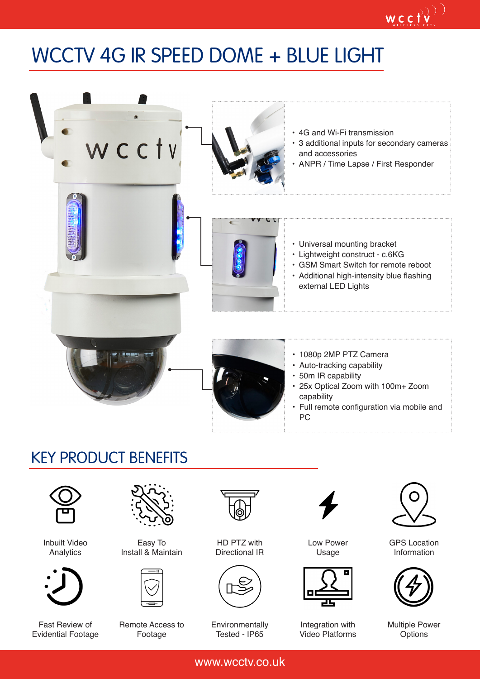### WCCTV 4G IR SPEED DOME + BLUE LIGHT



### KEY PRODUCT BENEFITS



Inbuilt Video Analytics



Fast Review of Evidential Footage



Easy To Install & Maintain



Remote Access to Footage



HD PTZ with Directional IR



Environmentally Tested - IP65



Low Power Usage



Integration with Video Platforms



 $\mathop{\mathsf{wc}}\limits_{\mathop{\mathsf{cc}}\limits_{\mathop{\mathsf{v}}\limits^{\mathsf{u}}}\mathop{\mathsf{cc}}\limits^{\mathsf{u}}\mathop{\mathsf{cv}}\limits^{\mathsf{v}}\mathop{\mathsf{cv}}\limits^{\mathsf{v}}\mathop{\mathsf{cv}}\limits^{\mathsf{v}}$ 

GPS Location Information



Multiple Power **Options** 

www.wcctv.co.uk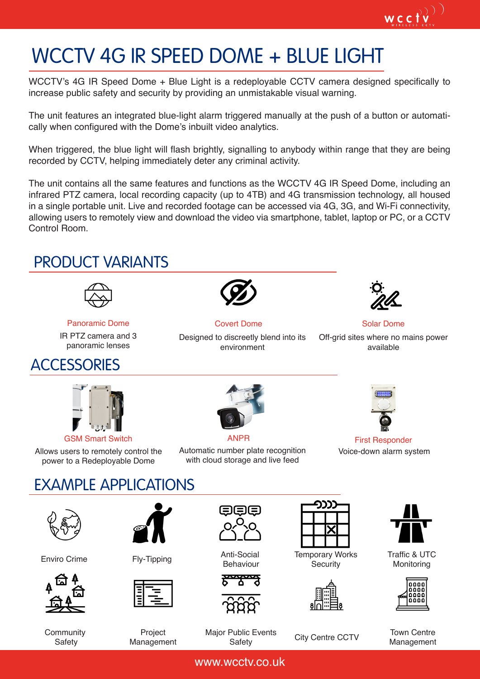# $W_{\text{w.r.}(\text{e.f})}(\text{y})$

## WCCTV 4G IR SPEED DOME + BLUE LIGHT

WCCTV's 4G IR Speed Dome + Blue Light is a redeployable CCTV camera designed specifically to increase public safety and security by providing an unmistakable visual warning.

The unit features an integrated blue-light alarm triggered manually at the push of a button or automatically when configured with the Dome's inbuilt video analytics.

When triggered, the blue light will flash brightly, signalling to anybody within range that they are being recorded by CCTV, helping immediately deter any criminal activity.

The unit contains all the same features and functions as the WCCTV 4G IR Speed Dome, including an infrared PTZ camera, local recording capacity (up to 4TB) and 4G transmission technology, all housed in a single portable unit. Live and recorded footage can be accessed via 4G, 3G, and Wi-Fi connectivity, allowing users to remotely view and download the video via smartphone, tablet, laptop or PC, or a CCTV Control Room.

#### PRODUCT VARIANTS



IR PTZ camera and 3 panoramic lenses

#### **ACCESSORIES**



Designed to discreetly blend into its environment



Panoramic Dome Covert Dome Covert Dome Solar Dome Off-grid sites where no mains power available



Allows users to remotely control the power to a Redeployable Dome



GSM Smart Switch **ANPR** ANPR First Responder Voice-down alarm system

#### Automatic number plate recognition with cloud storage and live feed







**Community Safety** 







Temporary Works **Security** 







Traffic & UTC Monitoring



Management

Project Management

www.wcctv.co.uk

Major Public Events